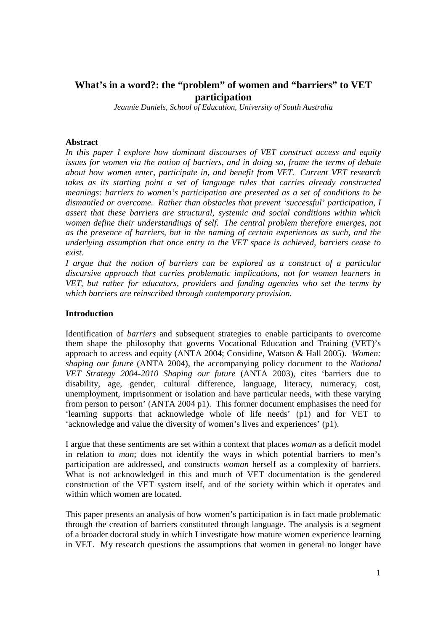# **What's in a word?: the "problem" of women and "barriers" to VET participation**

*Jeannie Daniels, School of Education, University of South Australia* 

## **Abstract**

*In this paper I explore how dominant discourses of VET construct access and equity issues for women via the notion of barriers, and in doing so, frame the terms of debate about how women enter, participate in, and benefit from VET. Current VET research takes as its starting point a set of language rules that carries already constructed meanings: barriers to women's participation are presented as a set of conditions to be dismantled or overcome. Rather than obstacles that prevent 'successful' participation, I assert that these barriers are structural, systemic and social conditions within which women define their understandings of self. The central problem therefore emerges, not as the presence of barriers, but in the naming of certain experiences as such, and the underlying assumption that once entry to the VET space is achieved, barriers cease to exist.* 

*I argue that the notion of barriers can be explored as a construct of a particular discursive approach that carries problematic implications, not for women learners in VET, but rather for educators, providers and funding agencies who set the terms by which barriers are reinscribed through contemporary provision.* 

## **Introduction**

Identification of *barriers* and subsequent strategies to enable participants to overcome them shape the philosophy that governs Vocational Education and Training (VET)'s approach to access and equity (ANTA 2004; Considine, Watson & Hall 2005). *Women: shaping our future* (ANTA 2004), the accompanying policy document to the *National VET Strategy 2004-2010 Shaping our future* (ANTA 2003), cites 'barriers due to disability, age, gender, cultural difference, language, literacy, numeracy, cost, unemployment, imprisonment or isolation and have particular needs, with these varying from person to person' (ANTA 2004 p1). This former document emphasises the need for 'learning supports that acknowledge whole of life needs' (p1) and for VET to 'acknowledge and value the diversity of women's lives and experiences' (p1).

I argue that these sentiments are set within a context that places *woman* as a deficit model in relation to *man*; does not identify the ways in which potential barriers to men's participation are addressed, and constructs *woman* herself as a complexity of barriers. What is not acknowledged in this and much of VET documentation is the gendered construction of the VET system itself, and of the society within which it operates and within which women are located.

This paper presents an analysis of how women's participation is in fact made problematic through the creation of barriers constituted through language. The analysis is a segment of a broader doctoral study in which I investigate how mature women experience learning in VET. My research questions the assumptions that women in general no longer have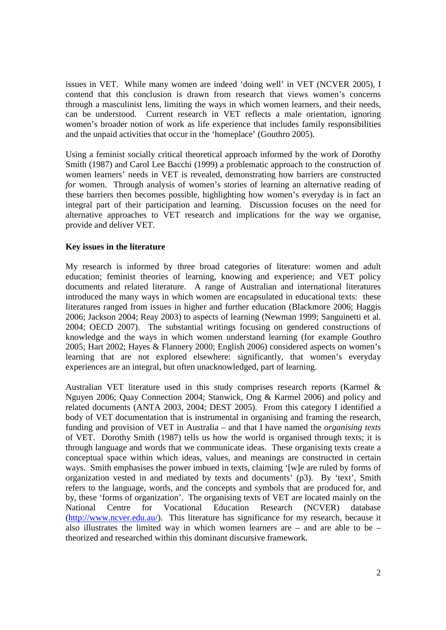issues in VET. While many women are indeed 'doing well' in VET (NCVER 2005), I contend that this conclusion is drawn from research that views women's concerns through a masculinist lens, limiting the ways in which women learners, and their needs, can be understood. Current research in VET reflects a male orientation, ignoring women's broader notion of work as life experience that includes family responsibilities and the unpaid activities that occur in the 'homeplace' (Gouthro 2005).

Using a feminist socially critical theoretical approach informed by the work of Dorothy Smith (1987) and Carol Lee Bacchi (1999) a problematic approach to the construction of women learners' needs in VET is revealed, demonstrating how barriers are constructed *for* women. Through analysis of women's stories of learning an alternative reading of these barriers then becomes possible, highlighting how women's everyday is in fact an integral part of their participation and learning. Discussion focuses on the need for alternative approaches to VET research and implications for the way we organise, provide and deliver VET.

# **Key issues in the literature**

My research is informed by three broad categories of literature: women and adult education; feminist theories of learning, knowing and experience; and VET policy documents and related literature. A range of Australian and international literatures introduced the many ways in which women are encapsulated in educational texts: these literatures ranged from issues in higher and further education (Blackmore 2006; Haggis 2006; Jackson 2004; Reay 2003) to aspects of learning (Newman 1999; Sanguinetti et al. 2004; OECD 2007). The substantial writings focusing on gendered constructions of knowledge and the ways in which women understand learning (for example Gouthro 2005; Hart 2002; Hayes & Flannery 2000; English 2006) considered aspects on women's learning that are not explored elsewhere: significantly, that women's everyday experiences are an integral, but often unacknowledged, part of learning.

Australian VET literature used in this study comprises research reports (Karmel & Nguyen 2006; Quay Connection 2004; Stanwick, Ong & Karmel 2006) and policy and related documents (ANTA 2003, 2004; DEST 2005). From this category I identified a body of VET documentation that is instrumental in organising and framing the research, funding and provision of VET in Australia – and that I have named the *organising texts* of VET. Dorothy Smith (1987) tells us how the world is organised through texts; it is through language and words that we communicate ideas. These organising texts create a conceptual space within which ideas, values, and meanings are constructed in certain ways. Smith emphasises the power imbued in texts, claiming '[w]e are ruled by forms of organization vested in and mediated by texts and documents' (p3). By 'text', Smith refers to the language, words, and the concepts and symbols that are produced for, and by, these 'forms of organization'. The organising texts of VET are located mainly on the National Centre for Vocational Education Research (NCVER) database (http://www.ncver.edu.au/). This literature has significance for my research, because it also illustrates the limited way in which women learners are – and are able to be – theorized and researched within this dominant discursive framework.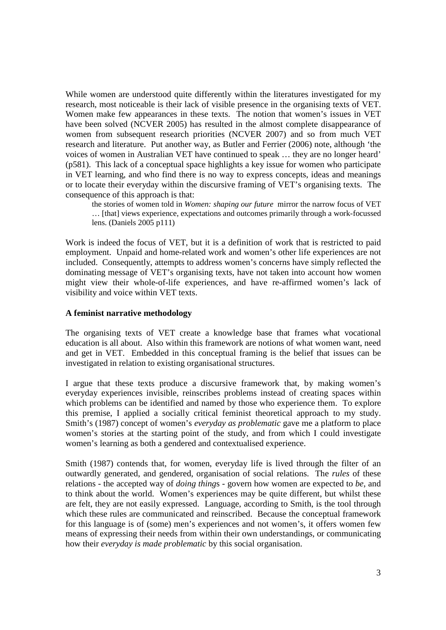While women are understood quite differently within the literatures investigated for my research, most noticeable is their lack of visible presence in the organising texts of VET. Women make few appearances in these texts.The notion that women's issues in VET have been solved (NCVER 2005) has resulted in the almost complete disappearance of women from subsequent research priorities (NCVER 2007) and so from much VET research and literature. Put another way, as Butler and Ferrier (2006) note, although 'the voices of women in Australian VET have continued to speak … they are no longer heard' (p581). This lack of a conceptual space highlights a key issue for women who participate in VET learning, and who find there is no way to express concepts, ideas and meanings or to locate their everyday within the discursive framing of VET's organising texts. The consequence of this approach is that:

the stories of women told in *Women: shaping our future* mirror the narrow focus of VET … [that] views experience, expectations and outcomes primarily through a work-focussed lens. (Daniels 2005 p111)

Work is indeed the focus of VET, but it is a definition of work that is restricted to paid employment. Unpaid and home-related work and women's other life experiences are not included. Consequently, attempts to address women's concerns have simply reflected the dominating message of VET's organising texts, have not taken into account how women might view their whole-of-life experiences, and have re-affirmed women's lack of visibility and voice within VET texts.

## **A feminist narrative methodology**

The organising texts of VET create a knowledge base that frames what vocational education is all about. Also within this framework are notions of what women want, need and get in VET. Embedded in this conceptual framing is the belief that issues can be investigated in relation to existing organisational structures.

I argue that these texts produce a discursive framework that, by making women's everyday experiences invisible, reinscribes problems instead of creating spaces within which problems can be identified and named by those who experience them. To explore this premise, I applied a socially critical feminist theoretical approach to my study. Smith's (1987) concept of women's *everyday as problematic* gave me a platform to place women's stories at the starting point of the study, and from which I could investigate women's learning as both a gendered and contextualised experience.

Smith (1987) contends that, for women, everyday life is lived through the filter of an outwardly generated, and gendered, organisation of social relations. The *rules* of these relations - the accepted way of *doing thing*s - govern how women are expected to *be*, and to think about the world. Women's experiences may be quite different, but whilst these are felt, they are not easily expressed. Language, according to Smith, is the tool through which these rules are communicated and reinscribed. Because the conceptual framework for this language is of (some) men's experiences and not women's, it offers women few means of expressing their needs from within their own understandings, or communicating how their *everyday is made problematic* by this social organisation.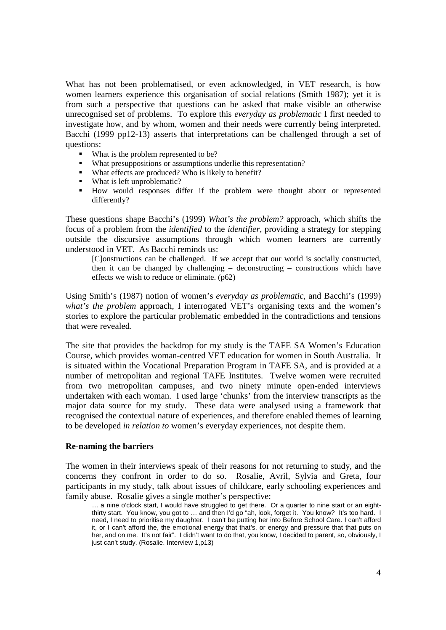What has not been problematised, or even acknowledged, in VET research, is how women learners experience this organisation of social relations (Smith 1987); yet it is from such a perspective that questions can be asked that make visible an otherwise unrecognised set of problems. To explore this *everyday as problematic* I first needed to investigate how, and by whom, women and their needs were currently being interpreted. Bacchi (1999 pp12-13) asserts that interpretations can be challenged through a set of questions:

- What is the problem represented to be?
- What presuppositions or assumptions underlie this representation?
- What effects are produced? Who is likely to benefit?
- What is left unproblematic?
- How would responses differ if the problem were thought about or represented differently?

These questions shape Bacchi's (1999) *What's the problem?* approach, which shifts the focus of a problem from the *identified* to the *identifier*, providing a strategy for stepping outside the discursive assumptions through which women learners are currently understood in VET. As Bacchi reminds us:

[C]onstructions can be challenged. If we accept that our world is socially constructed, then it can be changed by challenging – deconstructing – constructions which have effects we wish to reduce or eliminate. (p62)

Using Smith's (1987) notion of women's *everyday as problematic,* and Bacchi's (1999) *what's the problem* approach, I interrogated VET's organising texts and the women's stories to explore the particular problematic embedded in the contradictions and tensions that were revealed.

The site that provides the backdrop for my study is the TAFE SA Women's Education Course, which provides woman-centred VET education for women in South Australia. It is situated within the Vocational Preparation Program in TAFE SA, and is provided at a number of metropolitan and regional TAFE Institutes. Twelve women were recruited from two metropolitan campuses, and two ninety minute open-ended interviews undertaken with each woman. I used large 'chunks' from the interview transcripts as the major data source for my study. These data were analysed using a framework that recognised the contextual nature of experiences, and therefore enabled themes of learning to be developed *in relation to* women's everyday experiences, not despite them.

### **Re-naming the barriers**

The women in their interviews speak of their reasons for not returning to study, and the concerns they confront in order to do so. Rosalie, Avril, Sylvia and Greta, four participants in my study, talk about issues of childcare, early schooling experiences and family abuse. Rosalie gives a single mother's perspective:

<sup>...</sup> a nine o'clock start, I would have struggled to get there. Or a quarter to nine start or an eightthirty start. You know, you got to … and then I'd go "ah, look, forget it. You know? It's too hard. I need, I need to prioritise my daughter. I can't be putting her into Before School Care. I can't afford it, or I can't afford the, the emotional energy that that's, or energy and pressure that that puts on her, and on me. It's not fair". I didn't want to do that, you know, I decided to parent, so, obviously, I just can't study. (Rosalie. Interview 1,p13)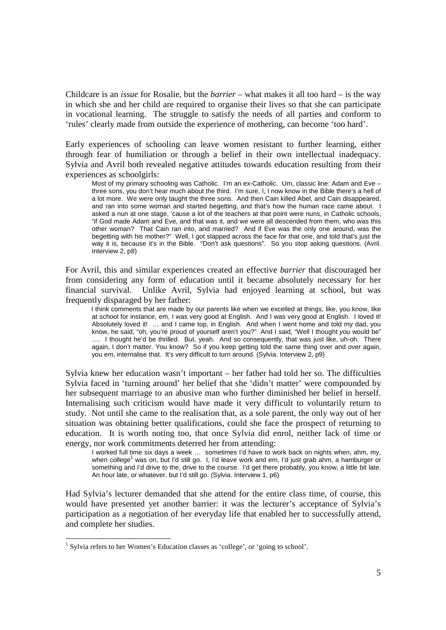Childcare is an *issue* for Rosalie, but the *barrier –* what makes it all too hard *–* is the way in which she and her child are required to organise their lives so that she can participate in vocational learning. The struggle to satisfy the needs of all parties and conform to 'rules' clearly made from outside the experience of mothering, can become 'too hard'.

Early experiences of schooling can leave women resistant to further learning, either through fear of humiliation or through a belief in their own intellectual inadequacy. Sylvia and Avril both revealed negative attitudes towards education resulting from their experiences as schoolgirls:

Most of my primary schooling was Catholic. I'm an ex-Catholic. Um, classic line: Adam and Eve three sons, you don't hear much about the third. I'm sure, I, I now know in the Bible there's a hell of a lot more. We were only taught the three sons. And then Cain killed Abel, and Cain disappeared, and ran into some woman and started begetting, and that's how the human race came about. I asked a nun at one stage, 'cause a lot of the teachers at that point were nuns, in Catholic schools, "if God made Adam and Eve, and that was it, and we were all descended from them, who was this other woman? That Cain ran into, and married? And if Eve was the only one around, was the begetting with his mother?" Well, I got slapped across the face for that one, and told that's just the way it is, because it's in the Bible. "Don't ask questions". So you stop asking questions. (Avril. Interview 2, p8)

For Avril, this and similar experiences created an effective *barrier* that discouraged her from considering any form of education until it became absolutely necessary for her financial survival. Unlike Avril, Sylvia had enjoyed learning at school, but was frequently disparaged by her father:

I think comments that are made by our parents like when we excelled at things, like, you know, like at school for instance, em, I was very good at English. And I was very good at English. I loved it! Absolutely loved it! … and I came top, in English. And when I went home and told my dad, you know, he said, "oh, you're proud of yourself aren't you?" And I said, "Well I thought you would be" .... I thought he'd be thrilled. But, yeah. And so consequently, that was just like, uh-oh. There again, I don't matter. You know? So if you keep getting told the same thing over and over again, you em, internalise that. It's very difficult to turn around. (Sylvia. Interview 2, p9)

Sylvia knew her education wasn't important – her father had told her so. The difficulties Sylvia faced in 'turning around' her belief that she 'didn't matter' were compounded by her subsequent marriage to an abusive man who further diminished her belief in herself. Internalising such criticism would have made it very difficult to voluntarily return to study. Not until she came to the realisation that, as a sole parent, the only way out of her situation was obtaining better qualifications, could she face the prospect of returning to education. It is worth noting too, that once Sylvia did enrol, neither lack of time or energy, nor work commitments deterred her from attending:

I worked full time six days a week … sometimes I'd have to work back on nights when, ahm, my, when college<sup>1</sup> was on, but I'd still go. I, I'd leave work and em, I'd just grab ahm, a hamburger or something and I'd drive to the, drive to the course. I'd get there probably, you know, a little bit late. An hour late, or whatever, but I'd still go. (Sylvia. Interview 1, p6)

Had Sylvia's lecturer demanded that she attend for the entire class time, of course, this would have presented yet another barrier: it was the lecturer's acceptance of Sylvia's participation as a negotiation of her everyday life that enabled her to successfully attend, and complete her studies.

 1 Sylvia refers to her Women's Education classes as 'college', or 'going to school'.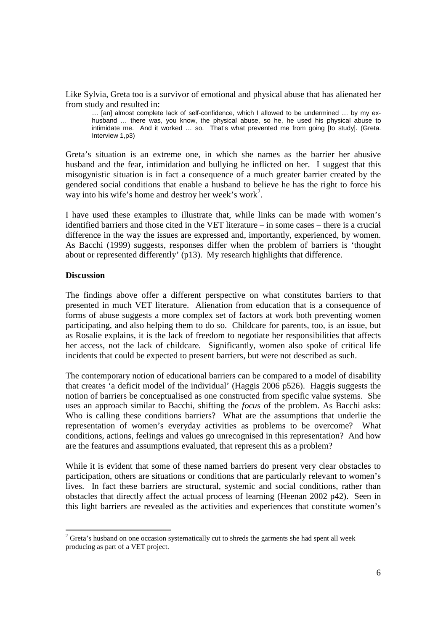Like Sylvia, Greta too is a survivor of emotional and physical abuse that has alienated her from study and resulted in:

… [an] almost complete lack of self-confidence, which I allowed to be undermined … by my exhusband … there was, you know, the physical abuse, so he, he used his physical abuse to intimidate me. And it worked … so. That's what prevented me from going [to study]. (Greta. Interview 1,p3)

Greta's situation is an extreme one, in which she names as the barrier her abusive husband and the fear, intimidation and bullying he inflicted on her. I suggest that this misogynistic situation is in fact a consequence of a much greater barrier created by the gendered social conditions that enable a husband to believe he has the right to force his way into his wife's home and destroy her week's work<sup>2</sup>.

I have used these examples to illustrate that, while links can be made with women's identified barriers and those cited in the VET literature – in some cases – there is a crucial difference in the way the issues are expressed and, importantly, experienced, by women. As Bacchi (1999) suggests, responses differ when the problem of barriers is 'thought about or represented differently' (p13). My research highlights that difference.

### **Discussion**

The findings above offer a different perspective on what constitutes barriers to that presented in much VET literature. Alienation from education that is a consequence of forms of abuse suggests a more complex set of factors at work both preventing women participating, and also helping them to do so. Childcare for parents, too, is an issue, but as Rosalie explains, it is the lack of freedom to negotiate her responsibilities that affects her access, not the lack of childcare. Significantly, women also spoke of critical life incidents that could be expected to present barriers, but were not described as such.

The contemporary notion of educational barriers can be compared to a model of disability that creates 'a deficit model of the individual' (Haggis 2006 p526). Haggis suggests the notion of barriers be conceptualised as one constructed from specific value systems. She uses an approach similar to Bacchi, shifting the *focus* of the problem. As Bacchi asks: Who is calling these conditions barriers? What are the assumptions that underlie the representation of women's everyday activities as problems to be overcome? What conditions, actions, feelings and values go unrecognised in this representation? And how are the features and assumptions evaluated, that represent this as a problem?

While it is evident that some of these named barriers do present very clear obstacles to participation, others are situations or conditions that are particularly relevant to women's lives. In fact these barriers are structural, systemic and social conditions, rather than obstacles that directly affect the actual process of learning (Heenan 2002 p42). Seen in this light barriers are revealed as the activities and experiences that constitute women's

<sup>&</sup>lt;sup>2</sup> Greta's husband on one occasion systematically cut to shreds the garments she had spent all week producing as part of a VET project.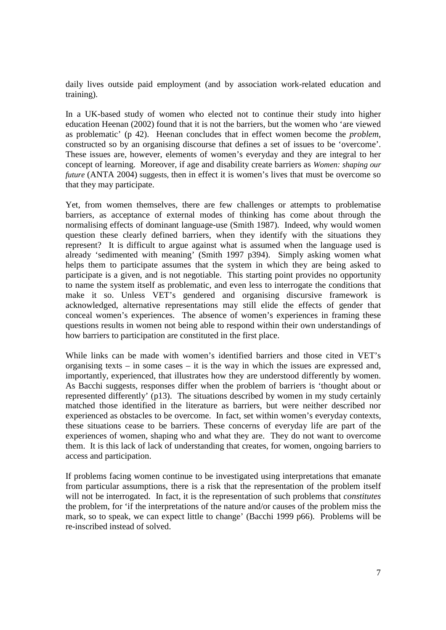daily lives outside paid employment (and by association work-related education and training).

In a UK-based study of women who elected not to continue their study into higher education Heenan (2002) found that it is not the barriers, but the women who 'are viewed as problematic' (p 42). Heenan concludes that in effect women become the *problem*, constructed so by an organising discourse that defines a set of issues to be 'overcome'. These issues are, however, elements of women's everyday and they are integral to her concept of learning. Moreover, if age and disability create barriers as *Women: shaping our future* (ANTA 2004) suggests, then in effect it is women's lives that must be overcome so that they may participate.

Yet, from women themselves, there are few challenges or attempts to problematise barriers, as acceptance of external modes of thinking has come about through the normalising effects of dominant language-use (Smith 1987). Indeed, why would women question these clearly defined barriers, when they identify with the situations they represent? It is difficult to argue against what is assumed when the language used is already 'sedimented with meaning' (Smith 1997 p394). Simply asking women what helps them to participate assumes that the system in which they are being asked to participate is a given, and is not negotiable. This starting point provides no opportunity to name the system itself as problematic, and even less to interrogate the conditions that make it so. Unless VET's gendered and organising discursive framework is acknowledged, alternative representations may still elide the effects of gender that conceal women's experiences. The absence of women's experiences in framing these questions results in women not being able to respond within their own understandings of how barriers to participation are constituted in the first place.

While links can be made with women's identified barriers and those cited in VET's organising texts – in some cases – it is the way in which the issues are expressed and, importantly, experienced, that illustrates how they are understood differently by women. As Bacchi suggests, responses differ when the problem of barriers is 'thought about or represented differently' (p13). The situations described by women in my study certainly matched those identified in the literature as barriers, but were neither described nor experienced as obstacles to be overcome. In fact, set within women's everyday contexts, these situations cease to be barriers. These concerns of everyday life are part of the experiences of women, shaping who and what they are. They do not want to overcome them. It is this lack of lack of understanding that creates, for women, ongoing barriers to access and participation.

If problems facing women continue to be investigated using interpretations that emanate from particular assumptions, there is a risk that the representation of the problem itself will not be interrogated. In fact, it is the representation of such problems that *constitutes* the problem, for 'if the interpretations of the nature and/or causes of the problem miss the mark, so to speak, we can expect little to change' (Bacchi 1999 p66). Problems will be re-inscribed instead of solved.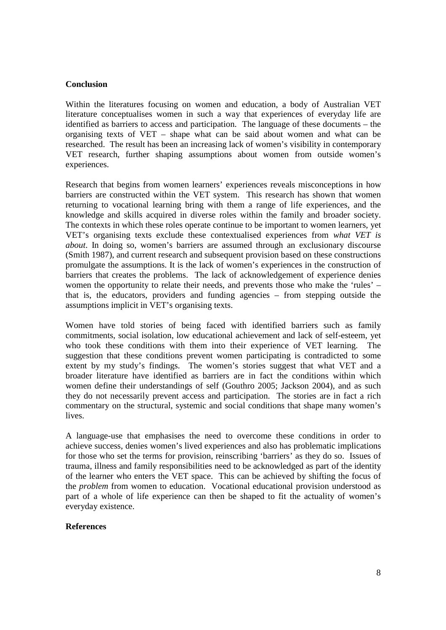# **Conclusion**

Within the literatures focusing on women and education, a body of Australian VET literature conceptualises women in such a way that experiences of everyday life are identified as barriers to access and participation. The language of these documents – the organising texts of VET – shape what can be said about women and what can be researched. The result has been an increasing lack of women's visibility in contemporary VET research, further shaping assumptions about women from outside women's experiences.

Research that begins from women learners' experiences reveals misconceptions in how barriers are constructed within the VET system. This research has shown that women returning to vocational learning bring with them a range of life experiences, and the knowledge and skills acquired in diverse roles within the family and broader society. The contexts in which these roles operate continue to be important to women learners, yet VET's organising texts exclude these contextualised experiences from *what VET is about*. In doing so, women's barriers are assumed through an exclusionary discourse (Smith 1987), and current research and subsequent provision based on these constructions promulgate the assumptions. It is the lack of women's experiences in the construction of barriers that creates the problems. The lack of acknowledgement of experience denies women the opportunity to relate their needs, and prevents those who make the 'rules' – that is, the educators, providers and funding agencies – from stepping outside the assumptions implicit in VET's organising texts.

Women have told stories of being faced with identified barriers such as family commitments, social isolation, low educational achievement and lack of self-esteem, yet who took these conditions with them into their experience of VET learning. The suggestion that these conditions prevent women participating is contradicted to some extent by my study's findings. The women's stories suggest that what VET and a broader literature have identified as barriers are in fact the conditions within which women define their understandings of self (Gouthro 2005; Jackson 2004), and as such they do not necessarily prevent access and participation. The stories are in fact a rich commentary on the structural, systemic and social conditions that shape many women's lives.

A language-use that emphasises the need to overcome these conditions in order to achieve success, denies women's lived experiences and also has problematic implications for those who set the terms for provision, reinscribing 'barriers' as they do so. Issues of trauma, illness and family responsibilities need to be acknowledged as part of the identity of the learner who enters the VET space. This can be achieved by shifting the focus of the *problem* from women to education. Vocational educational provision understood as part of a whole of life experience can then be shaped to fit the actuality of women's everyday existence.

### **References**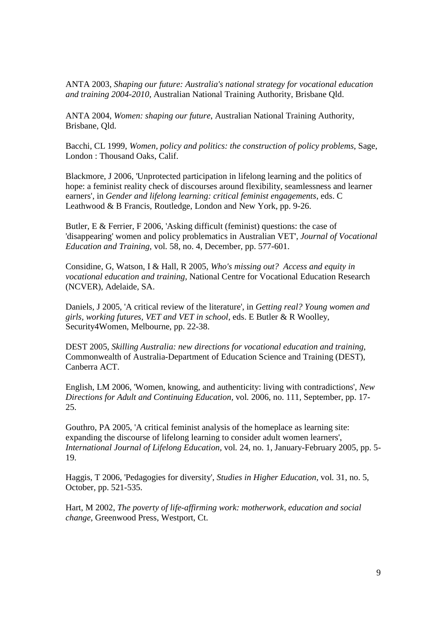ANTA 2003, *Shaping our future: Australia's national strategy for vocational education and training 2004-2010*, Australian National Training Authority, Brisbane Qld.

ANTA 2004, *Women: shaping our future*, Australian National Training Authority, Brisbane, Qld.

Bacchi, CL 1999, *Women, policy and politics: the construction of policy problems*, Sage, London : Thousand Oaks, Calif.

Blackmore, J 2006, 'Unprotected participation in lifelong learning and the politics of hope: a feminist reality check of discourses around flexibility, seamlessness and learner earners', in *Gender and lifelong learning: critical feminist engagements*, eds. C Leathwood & B Francis, Routledge, London and New York, pp. 9-26.

Butler, E & Ferrier, F 2006, 'Asking difficult (feminist) questions: the case of 'disappearing' women and policy problematics in Australian VET', *Journal of Vocational Education and Training,* vol*.* 58, no. 4, December, pp. 577-601.

Considine, G, Watson, I & Hall, R 2005, *Who's missing out? Access and equity in vocational education and training*, National Centre for Vocational Education Research (NCVER), Adelaide, SA.

Daniels, J 2005, 'A critical review of the literature', in *Getting real? Young women and girls, working futures, VET and VET in school*, eds. E Butler & R Woolley, Security4Women, Melbourne, pp. 22-38.

DEST 2005, *Skilling Australia: new directions for vocational education and training*, Commonwealth of Australia-Department of Education Science and Training (DEST), Canberra ACT.

English, LM 2006, 'Women, knowing, and authenticity: living with contradictions', *New Directions for Adult and Continuing Education,* vol*.* 2006, no. 111, September, pp. 17- 25.

Gouthro, PA 2005, 'A critical feminist analysis of the homeplace as learning site: expanding the discourse of lifelong learning to consider adult women learners', *International Journal of Lifelong Education,* vol*.* 24, no. 1, January-February 2005, pp. 5- 19.

Haggis, T 2006, 'Pedagogies for diversity', *Studies in Higher Education,* vol*.* 31, no. 5, October, pp. 521-535.

Hart, M 2002, *The poverty of life-affirming work: motherwork, education and social change*, Greenwood Press, Westport, Ct.